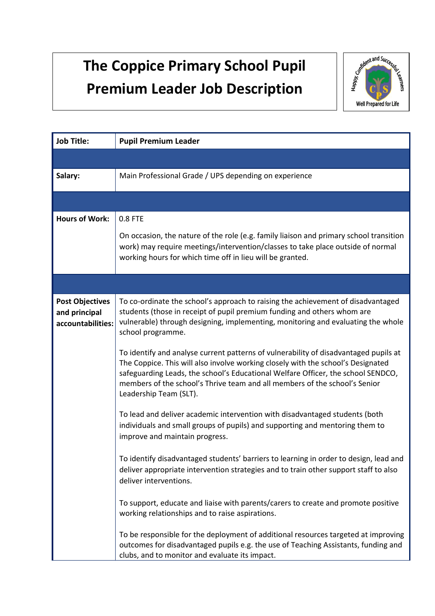## **The Coppice Primary School Pupil Premium Leader Job Description**



| <b>Job Title:</b>                                            | <b>Pupil Premium Leader</b>                                                                                                                                                                                                                                                                                                                                          |
|--------------------------------------------------------------|----------------------------------------------------------------------------------------------------------------------------------------------------------------------------------------------------------------------------------------------------------------------------------------------------------------------------------------------------------------------|
|                                                              |                                                                                                                                                                                                                                                                                                                                                                      |
| Salary:                                                      | Main Professional Grade / UPS depending on experience                                                                                                                                                                                                                                                                                                                |
|                                                              |                                                                                                                                                                                                                                                                                                                                                                      |
| <b>Hours of Work:</b>                                        | 0.8 FTE                                                                                                                                                                                                                                                                                                                                                              |
|                                                              | On occasion, the nature of the role (e.g. family liaison and primary school transition<br>work) may require meetings/intervention/classes to take place outside of normal<br>working hours for which time off in lieu will be granted.                                                                                                                               |
|                                                              |                                                                                                                                                                                                                                                                                                                                                                      |
| <b>Post Objectives</b><br>and principal<br>accountabilities: | To co-ordinate the school's approach to raising the achievement of disadvantaged<br>students (those in receipt of pupil premium funding and others whom are<br>vulnerable) through designing, implementing, monitoring and evaluating the whole<br>school programme.                                                                                                 |
|                                                              | To identify and analyse current patterns of vulnerability of disadvantaged pupils at<br>The Coppice. This will also involve working closely with the school's Designated<br>safeguarding Leads, the school's Educational Welfare Officer, the school SENDCO,<br>members of the school's Thrive team and all members of the school's Senior<br>Leadership Team (SLT). |
|                                                              | To lead and deliver academic intervention with disadvantaged students (both<br>individuals and small groups of pupils) and supporting and mentoring them to<br>improve and maintain progress.                                                                                                                                                                        |
|                                                              | To identify disadvantaged students' barriers to learning in order to design, lead and<br>deliver appropriate intervention strategies and to train other support staff to also<br>deliver interventions.                                                                                                                                                              |
|                                                              | To support, educate and liaise with parents/carers to create and promote positive<br>working relationships and to raise aspirations.                                                                                                                                                                                                                                 |
|                                                              | To be responsible for the deployment of additional resources targeted at improving<br>outcomes for disadvantaged pupils e.g. the use of Teaching Assistants, funding and<br>clubs, and to monitor and evaluate its impact.                                                                                                                                           |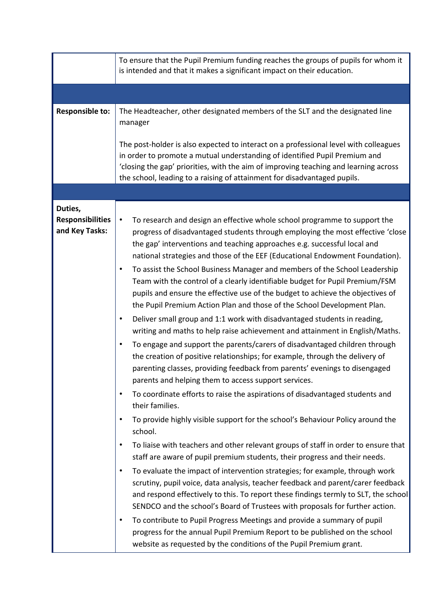|                                                      | To ensure that the Pupil Premium funding reaches the groups of pupils for whom it<br>is intended and that it makes a significant impact on their education.                                                                                                                                                                                                                                                                                                                                                                                                                                                                                                                                                                                                                                                                                                                                                                                                                                                                                                                                                                                                                                                                                                                                                                                                                                                                                                                                                                                                                                                                                                                                                                                                                                                                                                                                                                                                                                                                                                                                                                                                                           |
|------------------------------------------------------|---------------------------------------------------------------------------------------------------------------------------------------------------------------------------------------------------------------------------------------------------------------------------------------------------------------------------------------------------------------------------------------------------------------------------------------------------------------------------------------------------------------------------------------------------------------------------------------------------------------------------------------------------------------------------------------------------------------------------------------------------------------------------------------------------------------------------------------------------------------------------------------------------------------------------------------------------------------------------------------------------------------------------------------------------------------------------------------------------------------------------------------------------------------------------------------------------------------------------------------------------------------------------------------------------------------------------------------------------------------------------------------------------------------------------------------------------------------------------------------------------------------------------------------------------------------------------------------------------------------------------------------------------------------------------------------------------------------------------------------------------------------------------------------------------------------------------------------------------------------------------------------------------------------------------------------------------------------------------------------------------------------------------------------------------------------------------------------------------------------------------------------------------------------------------------------|
|                                                      |                                                                                                                                                                                                                                                                                                                                                                                                                                                                                                                                                                                                                                                                                                                                                                                                                                                                                                                                                                                                                                                                                                                                                                                                                                                                                                                                                                                                                                                                                                                                                                                                                                                                                                                                                                                                                                                                                                                                                                                                                                                                                                                                                                                       |
| <b>Responsible to:</b>                               | The Headteacher, other designated members of the SLT and the designated line<br>manager<br>The post-holder is also expected to interact on a professional level with colleagues<br>in order to promote a mutual understanding of identified Pupil Premium and<br>'closing the gap' priorities, with the aim of improving teaching and learning across<br>the school, leading to a raising of attainment for disadvantaged pupils.                                                                                                                                                                                                                                                                                                                                                                                                                                                                                                                                                                                                                                                                                                                                                                                                                                                                                                                                                                                                                                                                                                                                                                                                                                                                                                                                                                                                                                                                                                                                                                                                                                                                                                                                                     |
|                                                      |                                                                                                                                                                                                                                                                                                                                                                                                                                                                                                                                                                                                                                                                                                                                                                                                                                                                                                                                                                                                                                                                                                                                                                                                                                                                                                                                                                                                                                                                                                                                                                                                                                                                                                                                                                                                                                                                                                                                                                                                                                                                                                                                                                                       |
| Duties,<br><b>Responsibilities</b><br>and Key Tasks: | To research and design an effective whole school programme to support the<br>$\bullet$<br>progress of disadvantaged students through employing the most effective 'close<br>the gap' interventions and teaching approaches e.g. successful local and<br>national strategies and those of the EEF (Educational Endowment Foundation).<br>To assist the School Business Manager and members of the School Leadership<br>$\bullet$<br>Team with the control of a clearly identifiable budget for Pupil Premium/FSM<br>pupils and ensure the effective use of the budget to achieve the objectives of<br>the Pupil Premium Action Plan and those of the School Development Plan.<br>Deliver small group and 1:1 work with disadvantaged students in reading,<br>$\bullet$<br>writing and maths to help raise achievement and attainment in English/Maths.<br>To engage and support the parents/carers of disadvantaged children through<br>$\bullet$<br>the creation of positive relationships; for example, through the delivery of<br>parenting classes, providing feedback from parents' evenings to disengaged<br>parents and helping them to access support services.<br>To coordinate efforts to raise the aspirations of disadvantaged students and<br>$\bullet$<br>their families.<br>To provide highly visible support for the school's Behaviour Policy around the<br>$\bullet$<br>school.<br>To liaise with teachers and other relevant groups of staff in order to ensure that<br>$\bullet$<br>staff are aware of pupil premium students, their progress and their needs.<br>To evaluate the impact of intervention strategies; for example, through work<br>$\bullet$<br>scrutiny, pupil voice, data analysis, teacher feedback and parent/carer feedback<br>and respond effectively to this. To report these findings termly to SLT, the school<br>SENDCO and the school's Board of Trustees with proposals for further action.<br>To contribute to Pupil Progress Meetings and provide a summary of pupil<br>$\bullet$<br>progress for the annual Pupil Premium Report to be published on the school<br>website as requested by the conditions of the Pupil Premium grant. |